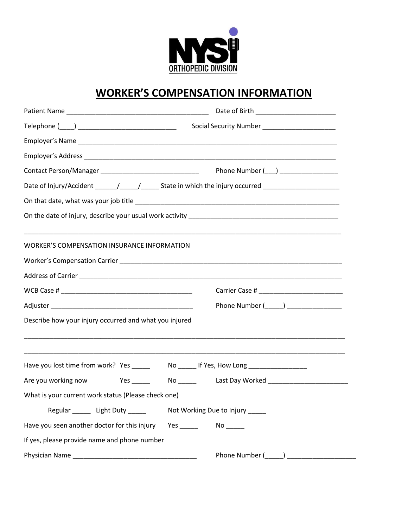

## **WORKER'S COMPENSATION INFORMATION**

|                                                           | Date of Birth ___________________________                                         |
|-----------------------------------------------------------|-----------------------------------------------------------------------------------|
|                                                           | Social Security Number _______________________                                    |
|                                                           |                                                                                   |
|                                                           |                                                                                   |
| Contact Person/Manager __________________________________ | Phone Number (___) __________________                                             |
|                                                           |                                                                                   |
|                                                           |                                                                                   |
|                                                           |                                                                                   |
| <b>WORKER'S COMPENSATION INSURANCE INFORMATION</b>        |                                                                                   |
|                                                           |                                                                                   |
|                                                           |                                                                                   |
|                                                           |                                                                                   |
|                                                           | Phone Number (______) __________________                                          |
| Describe how your injury occurred and what you injured    |                                                                                   |
|                                                           |                                                                                   |
|                                                           | Have you lost time from work? Yes _______ No ______ If Yes, How Long ____________ |
| Are you working now                                       |                                                                                   |
| What is your current work status (Please check one)       |                                                                                   |
| Regular _______ Light Duty _____                          | Not Working Due to Injury _____                                                   |
| Have you seen another doctor for this injury              |                                                                                   |
| If yes, please provide name and phone number              |                                                                                   |
|                                                           | Phone Number ( )                                                                  |